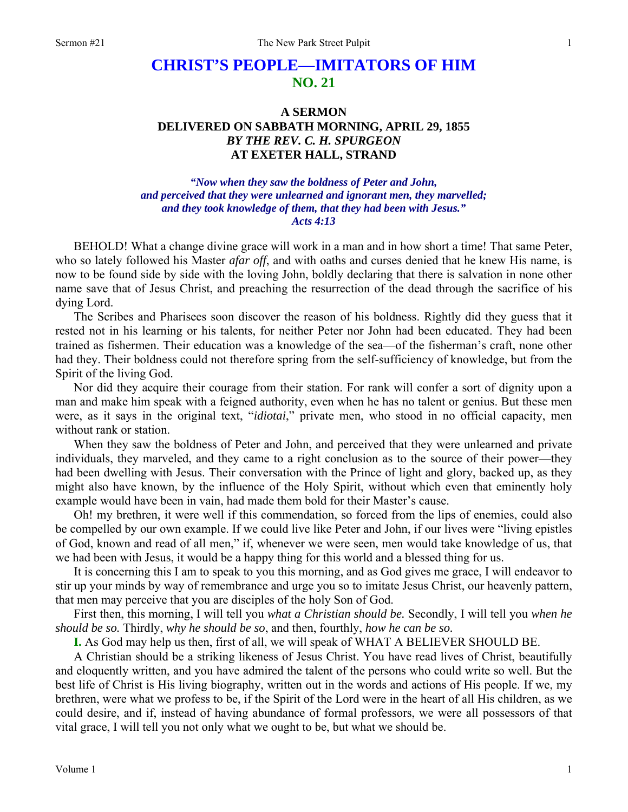# **CHRIST'S PEOPLE—IMITATORS OF HIM NO. 21**

## **A SERMON DELIVERED ON SABBATH MORNING, APRIL 29, 1855**  *BY THE REV. C. H. SPURGEON*  **AT EXETER HALL, STRAND**

### *"Now when they saw the boldness of Peter and John, and perceived that they were unlearned and ignorant men, they marvelled; and they took knowledge of them, that they had been with Jesus." Acts 4:13*

BEHOLD! What a change divine grace will work in a man and in how short a time! That same Peter, who so lately followed his Master *afar off*, and with oaths and curses denied that he knew His name, is now to be found side by side with the loving John, boldly declaring that there is salvation in none other name save that of Jesus Christ, and preaching the resurrection of the dead through the sacrifice of his dying Lord.

The Scribes and Pharisees soon discover the reason of his boldness. Rightly did they guess that it rested not in his learning or his talents, for neither Peter nor John had been educated. They had been trained as fishermen. Their education was a knowledge of the sea—of the fisherman's craft, none other had they. Their boldness could not therefore spring from the self-sufficiency of knowledge, but from the Spirit of the living God.

Nor did they acquire their courage from their station. For rank will confer a sort of dignity upon a man and make him speak with a feigned authority, even when he has no talent or genius. But these men were, as it says in the original text, "*idiotai*," private men, who stood in no official capacity, men without rank or station.

When they saw the boldness of Peter and John, and perceived that they were unlearned and private individuals, they marveled, and they came to a right conclusion as to the source of their power—they had been dwelling with Jesus. Their conversation with the Prince of light and glory, backed up, as they might also have known, by the influence of the Holy Spirit, without which even that eminently holy example would have been in vain, had made them bold for their Master's cause.

Oh! my brethren, it were well if this commendation, so forced from the lips of enemies, could also be compelled by our own example. If we could live like Peter and John, if our lives were "living epistles of God, known and read of all men," if, whenever we were seen, men would take knowledge of us, that we had been with Jesus, it would be a happy thing for this world and a blessed thing for us.

It is concerning this I am to speak to you this morning, and as God gives me grace, I will endeavor to stir up your minds by way of remembrance and urge you so to imitate Jesus Christ, our heavenly pattern, that men may perceive that you are disciples of the holy Son of God.

First then, this morning, I will tell you *what a Christian should be.* Secondly, I will tell you *when he should be so.* Thirdly, *why he should be so*, and then, fourthly, *how he can be so.* 

**I.** As God may help us then, first of all, we will speak of WHAT A BELIEVER SHOULD BE.

A Christian should be a striking likeness of Jesus Christ. You have read lives of Christ, beautifully and eloquently written, and you have admired the talent of the persons who could write so well. But the best life of Christ is His living biography, written out in the words and actions of His people. If we, my brethren, were what we profess to be, if the Spirit of the Lord were in the heart of all His children, as we could desire, and if, instead of having abundance of formal professors, we were all possessors of that vital grace, I will tell you not only what we ought to be, but what we should be.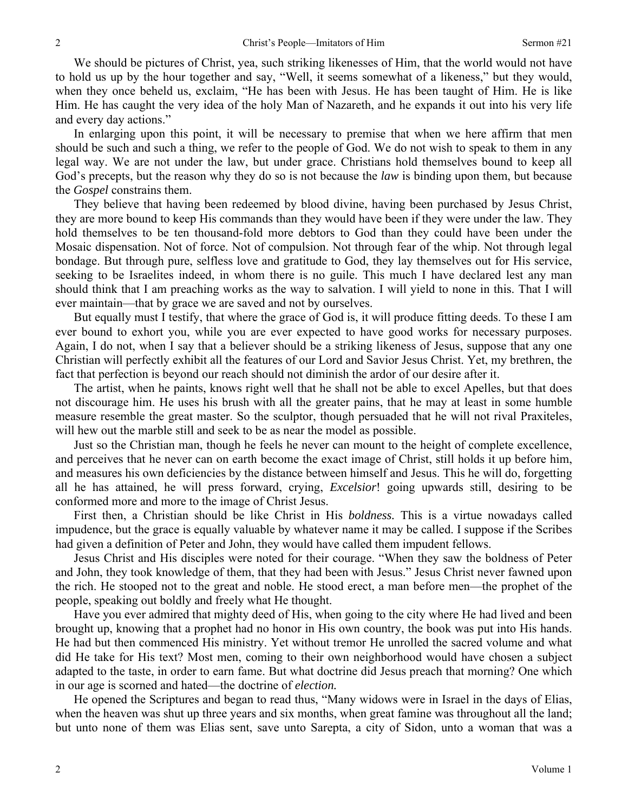We should be pictures of Christ, yea, such striking likenesses of Him, that the world would not have to hold us up by the hour together and say, "Well, it seems somewhat of a likeness," but they would, when they once beheld us, exclaim, "He has been with Jesus. He has been taught of Him. He is like Him. He has caught the very idea of the holy Man of Nazareth, and he expands it out into his very life and every day actions."

In enlarging upon this point, it will be necessary to premise that when we here affirm that men should be such and such a thing, we refer to the people of God. We do not wish to speak to them in any legal way. We are not under the law, but under grace. Christians hold themselves bound to keep all God's precepts, but the reason why they do so is not because the *law* is binding upon them, but because the *Gospel* constrains them.

They believe that having been redeemed by blood divine, having been purchased by Jesus Christ, they are more bound to keep His commands than they would have been if they were under the law. They hold themselves to be ten thousand-fold more debtors to God than they could have been under the Mosaic dispensation. Not of force. Not of compulsion. Not through fear of the whip. Not through legal bondage. But through pure, selfless love and gratitude to God, they lay themselves out for His service, seeking to be Israelites indeed, in whom there is no guile. This much I have declared lest any man should think that I am preaching works as the way to salvation. I will yield to none in this. That I will ever maintain—that by grace we are saved and not by ourselves.

But equally must I testify, that where the grace of God is, it will produce fitting deeds. To these I am ever bound to exhort you, while you are ever expected to have good works for necessary purposes. Again, I do not, when I say that a believer should be a striking likeness of Jesus, suppose that any one Christian will perfectly exhibit all the features of our Lord and Savior Jesus Christ. Yet, my brethren, the fact that perfection is beyond our reach should not diminish the ardor of our desire after it.

The artist, when he paints, knows right well that he shall not be able to excel Apelles, but that does not discourage him. He uses his brush with all the greater pains, that he may at least in some humble measure resemble the great master. So the sculptor, though persuaded that he will not rival Praxiteles, will hew out the marble still and seek to be as near the model as possible.

Just so the Christian man, though he feels he never can mount to the height of complete excellence, and perceives that he never can on earth become the exact image of Christ, still holds it up before him, and measures his own deficiencies by the distance between himself and Jesus. This he will do, forgetting all he has attained, he will press forward, crying, *Excelsior*! going upwards still, desiring to be conformed more and more to the image of Christ Jesus.

First then, a Christian should be like Christ in His *boldness.* This is a virtue nowadays called impudence, but the grace is equally valuable by whatever name it may be called. I suppose if the Scribes had given a definition of Peter and John, they would have called them impudent fellows.

Jesus Christ and His disciples were noted for their courage. "When they saw the boldness of Peter and John, they took knowledge of them, that they had been with Jesus." Jesus Christ never fawned upon the rich. He stooped not to the great and noble. He stood erect, a man before men—the prophet of the people, speaking out boldly and freely what He thought.

Have you ever admired that mighty deed of His, when going to the city where He had lived and been brought up, knowing that a prophet had no honor in His own country, the book was put into His hands. He had but then commenced His ministry. Yet without tremor He unrolled the sacred volume and what did He take for His text? Most men, coming to their own neighborhood would have chosen a subject adapted to the taste, in order to earn fame. But what doctrine did Jesus preach that morning? One which in our age is scorned and hated—the doctrine of *election.* 

He opened the Scriptures and began to read thus, "Many widows were in Israel in the days of Elias, when the heaven was shut up three years and six months, when great famine was throughout all the land; but unto none of them was Elias sent, save unto Sarepta, a city of Sidon, unto a woman that was a

2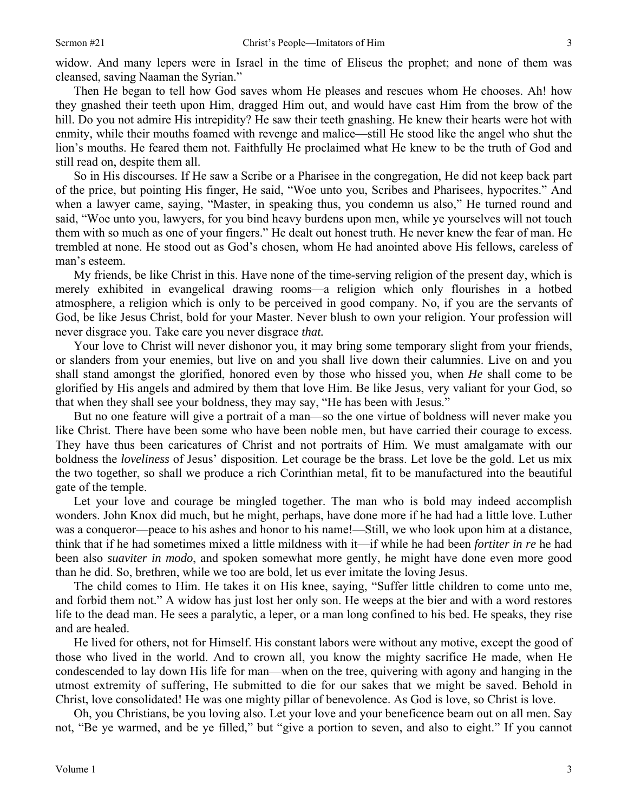3

widow. And many lepers were in Israel in the time of Eliseus the prophet; and none of them was cleansed, saving Naaman the Syrian."

Then He began to tell how God saves whom He pleases and rescues whom He chooses. Ah! how they gnashed their teeth upon Him, dragged Him out, and would have cast Him from the brow of the hill. Do you not admire His intrepidity? He saw their teeth gnashing. He knew their hearts were hot with enmity, while their mouths foamed with revenge and malice—still He stood like the angel who shut the lion's mouths. He feared them not. Faithfully He proclaimed what He knew to be the truth of God and still read on, despite them all.

So in His discourses. If He saw a Scribe or a Pharisee in the congregation, He did not keep back part of the price, but pointing His finger, He said, "Woe unto you, Scribes and Pharisees, hypocrites." And when a lawyer came, saying, "Master, in speaking thus, you condemn us also," He turned round and said, "Woe unto you, lawyers, for you bind heavy burdens upon men, while ye yourselves will not touch them with so much as one of your fingers." He dealt out honest truth. He never knew the fear of man. He trembled at none. He stood out as God's chosen, whom He had anointed above His fellows, careless of man's esteem.

My friends, be like Christ in this. Have none of the time-serving religion of the present day, which is merely exhibited in evangelical drawing rooms—a religion which only flourishes in a hotbed atmosphere, a religion which is only to be perceived in good company. No, if you are the servants of God, be like Jesus Christ, bold for your Master. Never blush to own your religion. Your profession will never disgrace you. Take care you never disgrace *that.* 

Your love to Christ will never dishonor you, it may bring some temporary slight from your friends, or slanders from your enemies, but live on and you shall live down their calumnies. Live on and you shall stand amongst the glorified, honored even by those who hissed you, when *He* shall come to be glorified by His angels and admired by them that love Him. Be like Jesus, very valiant for your God, so that when they shall see your boldness, they may say, "He has been with Jesus."

But no one feature will give a portrait of a man—so the one virtue of boldness will never make you like Christ. There have been some who have been noble men, but have carried their courage to excess. They have thus been caricatures of Christ and not portraits of Him. We must amalgamate with our boldness the *loveliness* of Jesus' disposition. Let courage be the brass. Let love be the gold. Let us mix the two together, so shall we produce a rich Corinthian metal, fit to be manufactured into the beautiful gate of the temple.

Let your love and courage be mingled together. The man who is bold may indeed accomplish wonders. John Knox did much, but he might, perhaps, have done more if he had had a little love. Luther was a conqueror—peace to his ashes and honor to his name!—Still, we who look upon him at a distance, think that if he had sometimes mixed a little mildness with it—if while he had been *fortiter in re* he had been also *suaviter in modo*, and spoken somewhat more gently, he might have done even more good than he did. So, brethren, while we too are bold, let us ever imitate the loving Jesus.

The child comes to Him. He takes it on His knee, saying, "Suffer little children to come unto me, and forbid them not." A widow has just lost her only son. He weeps at the bier and with a word restores life to the dead man. He sees a paralytic, a leper, or a man long confined to his bed. He speaks, they rise and are healed.

He lived for others, not for Himself. His constant labors were without any motive, except the good of those who lived in the world. And to crown all, you know the mighty sacrifice He made, when He condescended to lay down His life for man—when on the tree, quivering with agony and hanging in the utmost extremity of suffering, He submitted to die for our sakes that we might be saved. Behold in Christ, love consolidated! He was one mighty pillar of benevolence. As God is love, so Christ is love.

Oh, you Christians, be you loving also. Let your love and your beneficence beam out on all men. Say not, "Be ye warmed, and be ye filled," but "give a portion to seven, and also to eight." If you cannot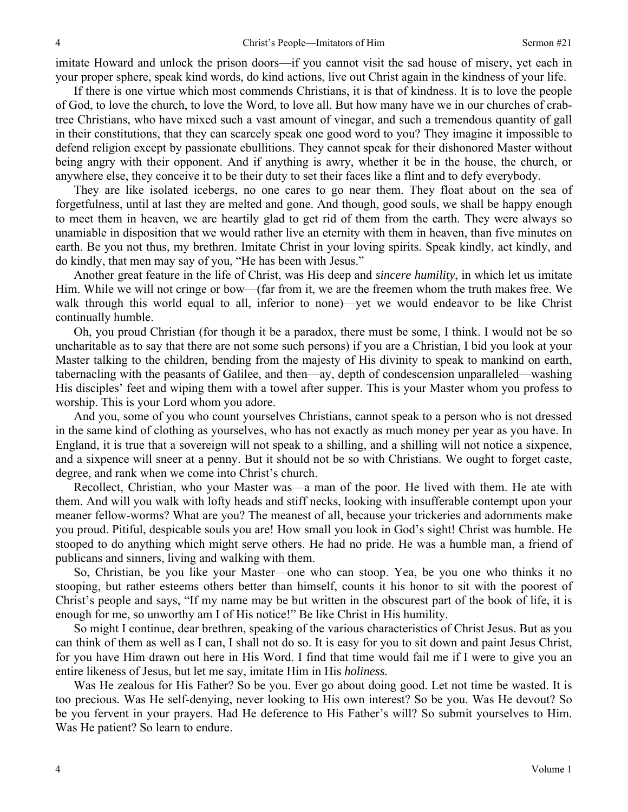imitate Howard and unlock the prison doors—if you cannot visit the sad house of misery, yet each in your proper sphere, speak kind words, do kind actions, live out Christ again in the kindness of your life.

If there is one virtue which most commends Christians, it is that of kindness. It is to love the people of God, to love the church, to love the Word, to love all. But how many have we in our churches of crabtree Christians, who have mixed such a vast amount of vinegar, and such a tremendous quantity of gall in their constitutions, that they can scarcely speak one good word to you? They imagine it impossible to defend religion except by passionate ebullitions. They cannot speak for their dishonored Master without being angry with their opponent. And if anything is awry, whether it be in the house, the church, or anywhere else, they conceive it to be their duty to set their faces like a flint and to defy everybody.

They are like isolated icebergs, no one cares to go near them. They float about on the sea of forgetfulness, until at last they are melted and gone. And though, good souls, we shall be happy enough to meet them in heaven, we are heartily glad to get rid of them from the earth. They were always so unamiable in disposition that we would rather live an eternity with them in heaven, than five minutes on earth. Be you not thus, my brethren. Imitate Christ in your loving spirits. Speak kindly, act kindly, and do kindly, that men may say of you, "He has been with Jesus."

Another great feature in the life of Christ, was His deep and *sincere humility*, in which let us imitate Him. While we will not cringe or bow—(far from it, we are the freemen whom the truth makes free. We walk through this world equal to all, inferior to none)—yet we would endeavor to be like Christ continually humble.

Oh, you proud Christian (for though it be a paradox, there must be some, I think. I would not be so uncharitable as to say that there are not some such persons) if you are a Christian, I bid you look at your Master talking to the children, bending from the majesty of His divinity to speak to mankind on earth, tabernacling with the peasants of Galilee, and then—ay, depth of condescension unparalleled—washing His disciples' feet and wiping them with a towel after supper. This is your Master whom you profess to worship. This is your Lord whom you adore.

And you, some of you who count yourselves Christians, cannot speak to a person who is not dressed in the same kind of clothing as yourselves, who has not exactly as much money per year as you have. In England, it is true that a sovereign will not speak to a shilling, and a shilling will not notice a sixpence, and a sixpence will sneer at a penny. But it should not be so with Christians. We ought to forget caste, degree, and rank when we come into Christ's church.

Recollect, Christian, who your Master was—a man of the poor. He lived with them. He ate with them. And will you walk with lofty heads and stiff necks, looking with insufferable contempt upon your meaner fellow-worms? What are you? The meanest of all, because your trickeries and adornments make you proud. Pitiful, despicable souls you are! How small you look in God's sight! Christ was humble. He stooped to do anything which might serve others. He had no pride. He was a humble man, a friend of publicans and sinners, living and walking with them.

So, Christian, be you like your Master—one who can stoop. Yea, be you one who thinks it no stooping, but rather esteems others better than himself, counts it his honor to sit with the poorest of Christ's people and says, "If my name may be but written in the obscurest part of the book of life, it is enough for me, so unworthy am I of His notice!" Be like Christ in His humility.

So might I continue, dear brethren, speaking of the various characteristics of Christ Jesus. But as you can think of them as well as I can, I shall not do so. It is easy for you to sit down and paint Jesus Christ, for you have Him drawn out here in His Word. I find that time would fail me if I were to give you an entire likeness of Jesus, but let me say, imitate Him in His *holiness.* 

Was He zealous for His Father? So be you. Ever go about doing good. Let not time be wasted. It is too precious. Was He self-denying, never looking to His own interest? So be you. Was He devout? So be you fervent in your prayers. Had He deference to His Father's will? So submit yourselves to Him. Was He patient? So learn to endure.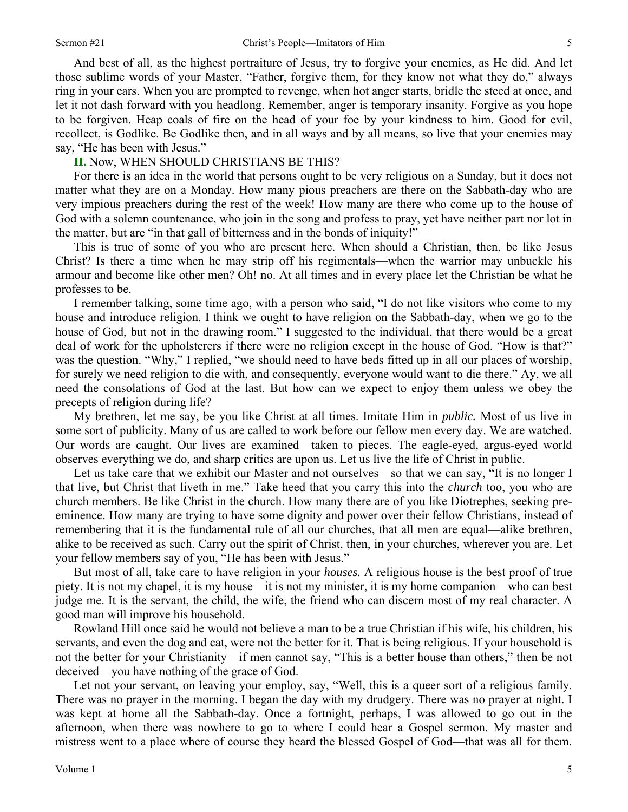And best of all, as the highest portraiture of Jesus, try to forgive your enemies, as He did. And let those sublime words of your Master, "Father, forgive them, for they know not what they do," always ring in your ears. When you are prompted to revenge, when hot anger starts, bridle the steed at once, and let it not dash forward with you headlong. Remember, anger is temporary insanity. Forgive as you hope to be forgiven. Heap coals of fire on the head of your foe by your kindness to him. Good for evil, recollect, is Godlike. Be Godlike then, and in all ways and by all means, so live that your enemies may say, "He has been with Jesus."

#### **II.** Now, WHEN SHOULD CHRISTIANS BE THIS?

For there is an idea in the world that persons ought to be very religious on a Sunday, but it does not matter what they are on a Monday. How many pious preachers are there on the Sabbath-day who are very impious preachers during the rest of the week! How many are there who come up to the house of God with a solemn countenance, who join in the song and profess to pray, yet have neither part nor lot in the matter, but are "in that gall of bitterness and in the bonds of iniquity!"

This is true of some of you who are present here. When should a Christian, then, be like Jesus Christ? Is there a time when he may strip off his regimentals—when the warrior may unbuckle his armour and become like other men? Oh! no. At all times and in every place let the Christian be what he professes to be.

I remember talking, some time ago, with a person who said, "I do not like visitors who come to my house and introduce religion. I think we ought to have religion on the Sabbath-day, when we go to the house of God, but not in the drawing room." I suggested to the individual, that there would be a great deal of work for the upholsterers if there were no religion except in the house of God. "How is that?" was the question. "Why," I replied, "we should need to have beds fitted up in all our places of worship, for surely we need religion to die with, and consequently, everyone would want to die there." Ay, we all need the consolations of God at the last. But how can we expect to enjoy them unless we obey the precepts of religion during life?

My brethren, let me say, be you like Christ at all times. Imitate Him in *public.* Most of us live in some sort of publicity. Many of us are called to work before our fellow men every day. We are watched. Our words are caught. Our lives are examined—taken to pieces. The eagle-eyed, argus-eyed world observes everything we do, and sharp critics are upon us. Let us live the life of Christ in public.

Let us take care that we exhibit our Master and not ourselves—so that we can say, "It is no longer I that live, but Christ that liveth in me." Take heed that you carry this into the *church* too, you who are church members. Be like Christ in the church. How many there are of you like Diotrephes, seeking preeminence. How many are trying to have some dignity and power over their fellow Christians, instead of remembering that it is the fundamental rule of all our churches, that all men are equal—alike brethren, alike to be received as such. Carry out the spirit of Christ, then, in your churches, wherever you are. Let your fellow members say of you, "He has been with Jesus."

But most of all, take care to have religion in your *houses.* A religious house is the best proof of true piety. It is not my chapel, it is my house—it is not my minister, it is my home companion—who can best judge me. It is the servant, the child, the wife, the friend who can discern most of my real character. A good man will improve his household.

Rowland Hill once said he would not believe a man to be a true Christian if his wife, his children, his servants, and even the dog and cat, were not the better for it. That is being religious. If your household is not the better for your Christianity—if men cannot say, "This is a better house than others," then be not deceived—you have nothing of the grace of God.

Let not your servant, on leaving your employ, say, "Well, this is a queer sort of a religious family. There was no prayer in the morning. I began the day with my drudgery. There was no prayer at night. I was kept at home all the Sabbath-day. Once a fortnight, perhaps, I was allowed to go out in the afternoon, when there was nowhere to go to where I could hear a Gospel sermon. My master and mistress went to a place where of course they heard the blessed Gospel of God—that was all for them.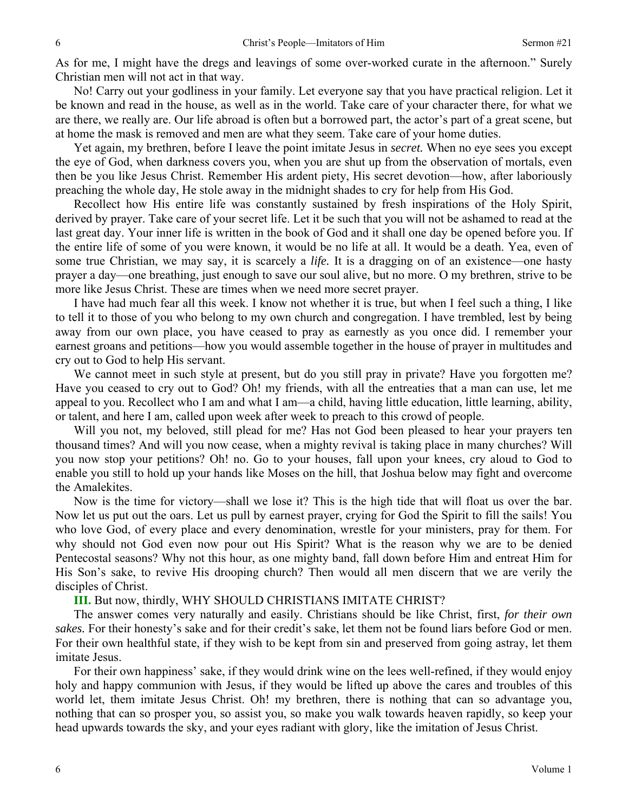As for me, I might have the dregs and leavings of some over-worked curate in the afternoon." Surely Christian men will not act in that way.

No! Carry out your godliness in your family. Let everyone say that you have practical religion. Let it be known and read in the house, as well as in the world. Take care of your character there, for what we are there, we really are. Our life abroad is often but a borrowed part, the actor's part of a great scene, but at home the mask is removed and men are what they seem. Take care of your home duties.

Yet again, my brethren, before I leave the point imitate Jesus in *secret.* When no eye sees you except the eye of God, when darkness covers you, when you are shut up from the observation of mortals, even then be you like Jesus Christ. Remember His ardent piety, His secret devotion—how, after laboriously preaching the whole day, He stole away in the midnight shades to cry for help from His God.

Recollect how His entire life was constantly sustained by fresh inspirations of the Holy Spirit, derived by prayer. Take care of your secret life. Let it be such that you will not be ashamed to read at the last great day. Your inner life is written in the book of God and it shall one day be opened before you. If the entire life of some of you were known, it would be no life at all. It would be a death. Yea, even of some true Christian, we may say, it is scarcely a *life.* It is a dragging on of an existence—one hasty prayer a day—one breathing, just enough to save our soul alive, but no more. O my brethren, strive to be more like Jesus Christ. These are times when we need more secret prayer.

I have had much fear all this week. I know not whether it is true, but when I feel such a thing, I like to tell it to those of you who belong to my own church and congregation. I have trembled, lest by being away from our own place, you have ceased to pray as earnestly as you once did. I remember your earnest groans and petitions—how you would assemble together in the house of prayer in multitudes and cry out to God to help His servant.

We cannot meet in such style at present, but do you still pray in private? Have you forgotten me? Have you ceased to cry out to God? Oh! my friends, with all the entreaties that a man can use, let me appeal to you. Recollect who I am and what I am—a child, having little education, little learning, ability, or talent, and here I am, called upon week after week to preach to this crowd of people.

Will you not, my beloved, still plead for me? Has not God been pleased to hear your prayers ten thousand times? And will you now cease, when a mighty revival is taking place in many churches? Will you now stop your petitions? Oh! no. Go to your houses, fall upon your knees, cry aloud to God to enable you still to hold up your hands like Moses on the hill, that Joshua below may fight and overcome the Amalekites.

Now is the time for victory—shall we lose it? This is the high tide that will float us over the bar. Now let us put out the oars. Let us pull by earnest prayer, crying for God the Spirit to fill the sails! You who love God, of every place and every denomination, wrestle for your ministers, pray for them. For why should not God even now pour out His Spirit? What is the reason why we are to be denied Pentecostal seasons? Why not this hour, as one mighty band, fall down before Him and entreat Him for His Son's sake, to revive His drooping church? Then would all men discern that we are verily the disciples of Christ.

**III.** But now, thirdly, WHY SHOULD CHRISTIANS IMITATE CHRIST?

The answer comes very naturally and easily. Christians should be like Christ, first, *for their own sakes.* For their honesty's sake and for their credit's sake, let them not be found liars before God or men. For their own healthful state, if they wish to be kept from sin and preserved from going astray, let them imitate Jesus.

For their own happiness' sake, if they would drink wine on the lees well-refined, if they would enjoy holy and happy communion with Jesus, if they would be lifted up above the cares and troubles of this world let, them imitate Jesus Christ. Oh! my brethren, there is nothing that can so advantage you, nothing that can so prosper you, so assist you, so make you walk towards heaven rapidly, so keep your head upwards towards the sky, and your eyes radiant with glory, like the imitation of Jesus Christ.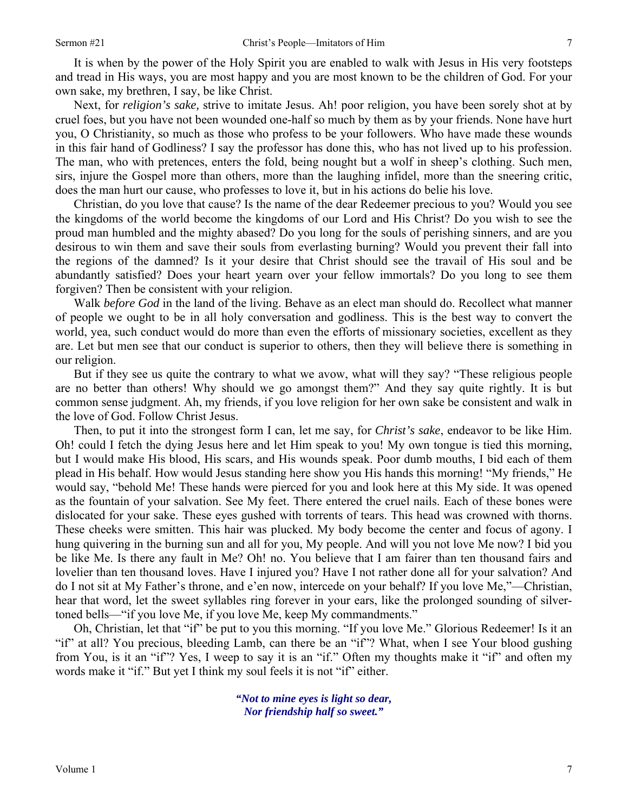It is when by the power of the Holy Spirit you are enabled to walk with Jesus in His very footsteps and tread in His ways, you are most happy and you are most known to be the children of God. For your own sake, my brethren, I say, be like Christ.

Next, for *religion's sake,* strive to imitate Jesus. Ah! poor religion, you have been sorely shot at by cruel foes, but you have not been wounded one-half so much by them as by your friends. None have hurt you, O Christianity, so much as those who profess to be your followers. Who have made these wounds in this fair hand of Godliness? I say the professor has done this, who has not lived up to his profession. The man, who with pretences, enters the fold, being nought but a wolf in sheep's clothing. Such men, sirs, injure the Gospel more than others, more than the laughing infidel, more than the sneering critic, does the man hurt our cause, who professes to love it, but in his actions do belie his love.

Christian, do you love that cause? Is the name of the dear Redeemer precious to you? Would you see the kingdoms of the world become the kingdoms of our Lord and His Christ? Do you wish to see the proud man humbled and the mighty abased? Do you long for the souls of perishing sinners, and are you desirous to win them and save their souls from everlasting burning? Would you prevent their fall into the regions of the damned? Is it your desire that Christ should see the travail of His soul and be abundantly satisfied? Does your heart yearn over your fellow immortals? Do you long to see them forgiven? Then be consistent with your religion.

Walk *before God* in the land of the living. Behave as an elect man should do. Recollect what manner of people we ought to be in all holy conversation and godliness. This is the best way to convert the world, yea, such conduct would do more than even the efforts of missionary societies, excellent as they are. Let but men see that our conduct is superior to others, then they will believe there is something in our religion.

But if they see us quite the contrary to what we avow, what will they say? "These religious people are no better than others! Why should we go amongst them?" And they say quite rightly. It is but common sense judgment. Ah, my friends, if you love religion for her own sake be consistent and walk in the love of God. Follow Christ Jesus.

Then, to put it into the strongest form I can, let me say, for *Christ's sake*, endeavor to be like Him. Oh! could I fetch the dying Jesus here and let Him speak to you! My own tongue is tied this morning, but I would make His blood, His scars, and His wounds speak. Poor dumb mouths, I bid each of them plead in His behalf. How would Jesus standing here show you His hands this morning! "My friends," He would say, "behold Me! These hands were pierced for you and look here at this My side. It was opened as the fountain of your salvation. See My feet. There entered the cruel nails. Each of these bones were dislocated for your sake. These eyes gushed with torrents of tears. This head was crowned with thorns. These cheeks were smitten. This hair was plucked. My body become the center and focus of agony. I hung quivering in the burning sun and all for you, My people. And will you not love Me now? I bid you be like Me. Is there any fault in Me? Oh! no. You believe that I am fairer than ten thousand fairs and lovelier than ten thousand loves. Have I injured you? Have I not rather done all for your salvation? And do I not sit at My Father's throne, and e'en now, intercede on your behalf? If you love Me,"—Christian, hear that word, let the sweet syllables ring forever in your ears, like the prolonged sounding of silvertoned bells—"if you love Me, if you love Me, keep My commandments."

Oh, Christian, let that "if" be put to you this morning. "If you love Me." Glorious Redeemer! Is it an "if" at all? You precious, bleeding Lamb, can there be an "if"? What, when I see Your blood gushing from You, is it an "if"? Yes, I weep to say it is an "if." Often my thoughts make it "if" and often my words make it "if." But yet I think my soul feels it is not "if" either.

> *"Not to mine eyes is light so dear, Nor friendship half so sweet."*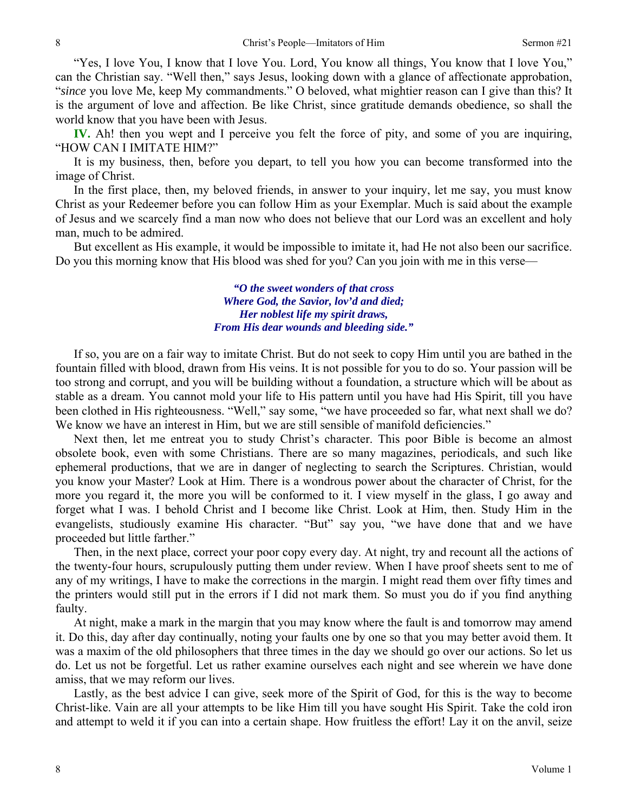"Yes, I love You, I know that I love You. Lord, You know all things, You know that I love You," can the Christian say. "Well then," says Jesus, looking down with a glance of affectionate approbation, "*since* you love Me, keep My commandments." O beloved, what mightier reason can I give than this? It is the argument of love and affection. Be like Christ, since gratitude demands obedience, so shall the world know that you have been with Jesus.

**IV.** Ah! then you wept and I perceive you felt the force of pity, and some of you are inquiring, "HOW CAN I IMITATE HIM?"

It is my business, then, before you depart, to tell you how you can become transformed into the image of Christ.

In the first place, then, my beloved friends, in answer to your inquiry, let me say, you must know Christ as your Redeemer before you can follow Him as your Exemplar. Much is said about the example of Jesus and we scarcely find a man now who does not believe that our Lord was an excellent and holy man, much to be admired.

But excellent as His example, it would be impossible to imitate it, had He not also been our sacrifice. Do you this morning know that His blood was shed for you? Can you join with me in this verse—

> *"O the sweet wonders of that cross Where God, the Savior, lov'd and died; Her noblest life my spirit draws, From His dear wounds and bleeding side."*

If so, you are on a fair way to imitate Christ. But do not seek to copy Him until you are bathed in the fountain filled with blood, drawn from His veins. It is not possible for you to do so. Your passion will be too strong and corrupt, and you will be building without a foundation, a structure which will be about as stable as a dream. You cannot mold your life to His pattern until you have had His Spirit, till you have been clothed in His righteousness. "Well," say some, "we have proceeded so far, what next shall we do? We know we have an interest in Him, but we are still sensible of manifold deficiencies."

Next then, let me entreat you to study Christ's character. This poor Bible is become an almost obsolete book, even with some Christians. There are so many magazines, periodicals, and such like ephemeral productions, that we are in danger of neglecting to search the Scriptures. Christian, would you know your Master? Look at Him. There is a wondrous power about the character of Christ, for the more you regard it, the more you will be conformed to it. I view myself in the glass, I go away and forget what I was. I behold Christ and I become like Christ. Look at Him, then. Study Him in the evangelists, studiously examine His character. "But" say you, "we have done that and we have proceeded but little farther."

Then, in the next place, correct your poor copy every day. At night, try and recount all the actions of the twenty-four hours, scrupulously putting them under review. When I have proof sheets sent to me of any of my writings, I have to make the corrections in the margin. I might read them over fifty times and the printers would still put in the errors if I did not mark them. So must you do if you find anything faulty.

At night, make a mark in the margin that you may know where the fault is and tomorrow may amend it. Do this, day after day continually, noting your faults one by one so that you may better avoid them. It was a maxim of the old philosophers that three times in the day we should go over our actions. So let us do. Let us not be forgetful. Let us rather examine ourselves each night and see wherein we have done amiss, that we may reform our lives.

Lastly, as the best advice I can give, seek more of the Spirit of God, for this is the way to become Christ-like. Vain are all your attempts to be like Him till you have sought His Spirit. Take the cold iron and attempt to weld it if you can into a certain shape. How fruitless the effort! Lay it on the anvil, seize

8